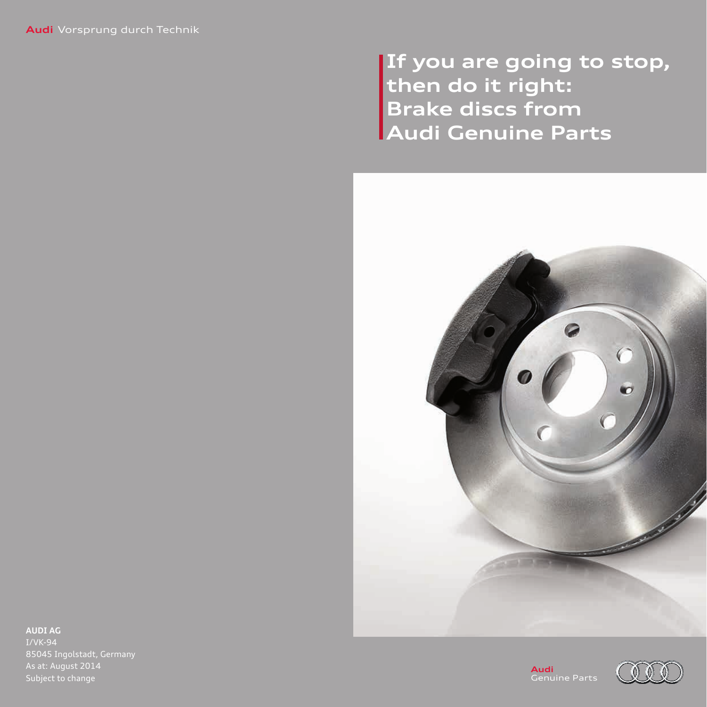**If you are going to stop, then do it right: Brake discs from Audi Genuine Parts**



**AUDI AG** I/VK-94 As at: August 2014